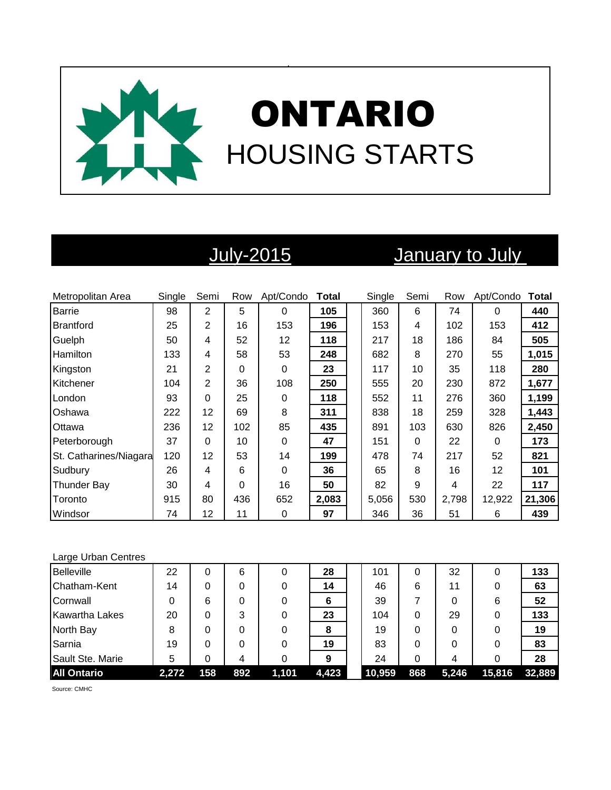

# July-2015 January to July

| Metropolitan Area      | Single | Semi           | Row | Apt/Condo   | <b>Total</b> | Single | Semi | Row   | Apt/Condo | <b>Total</b> |
|------------------------|--------|----------------|-----|-------------|--------------|--------|------|-------|-----------|--------------|
| Barrie                 | 98     | $\overline{2}$ | 5   | 0           | 105          | 360    | 6    | 74    | $\Omega$  | 440          |
| Brantford              | 25     | 2              | 16  | 153         | 196          | 153    | 4    | 102   | 153       | 412          |
| Guelph                 | 50     | 4              | 52  | 12          | 118          | 217    | 18   | 186   | 84        | 505          |
| Hamilton               | 133    | 4              | 58  | 53          | 248          | 682    | 8    | 270   | 55        | 1,015        |
| Kingston               | 21     | 2              | 0   | 0           | 23           | 117    | 10   | 35    | 118       | 280          |
| Kitchener              | 104    | $\overline{2}$ | 36  | 108         | 250          | 555    | 20   | 230   | 872       | 1,677        |
| London                 | 93     | $\Omega$       | 25  | 0           | 118          | 552    | 11   | 276   | 360       | 1,199        |
| <b>Oshawa</b>          | 222    | 12             | 69  | 8           | 311          | 838    | 18   | 259   | 328       | 1,443        |
| Ottawa                 | 236    | 12             | 102 | 85          | 435          | 891    | 103  | 630   | 826       | 2,450        |
| Peterborough           | 37     | $\Omega$       | 10  | 0           | 47           | 151    | 0    | 22    | 0         | 173          |
| St. Catharines/Niagara | 120    | 12             | 53  | 14          | 199          | 478    | 74   | 217   | 52        | 821          |
| Sudbury                | 26     | 4              | 6   | $\mathbf 0$ | 36           | 65     | 8    | 16    | 12        | 101          |
| <b>Thunder Bay</b>     | 30     | 4              | 0   | 16          | 50           | 82     | 9    | 4     | 22        | 117          |
| Toronto                | 915    | 80             | 436 | 652         | 2,083        | 5,056  | 530  | 2,798 | 12,922    | 21,306       |
| Windsor                | 74     | 12             | 11  | 0           | 97           | 346    | 36   | 51    | 6         | 439          |

### Large Urban Centres

| <b>Belleville</b>     | 22    | 0   | 6   | 0     | 28    | 101    | 0   | 32    | 0      | 133    |
|-----------------------|-------|-----|-----|-------|-------|--------|-----|-------|--------|--------|
| Chatham-Kent          | 14    |     | 0   |       | 14    | 46     | 6   | 11    | 0      | 63     |
| Cornwall              | 0     | 6   | 0   | 0     | 6     | 39     |     | 0     | 6      | 52     |
| <b>Kawartha Lakes</b> | 20    |     | 3   |       | 23    | 104    | 0   | 29    | 0      | 133    |
| North Bay             | 8     |     | 0   |       | 8     | 19     | 0   | 0     | 0      | 19     |
| Sarnia                | 19    |     | 0   | 0     | 19    | 83     | 0   | 0     | 0      | 83     |
| Sault Ste. Marie      | 5     |     |     |       | 9     | 24     | 0   | 4     | 0      | 28     |
| <b>All Ontario</b>    | 2,272 | 158 | 892 | 1,101 | 4,423 | 10,959 | 868 | 5,246 | 15,816 | 32,889 |

Source: CMHC